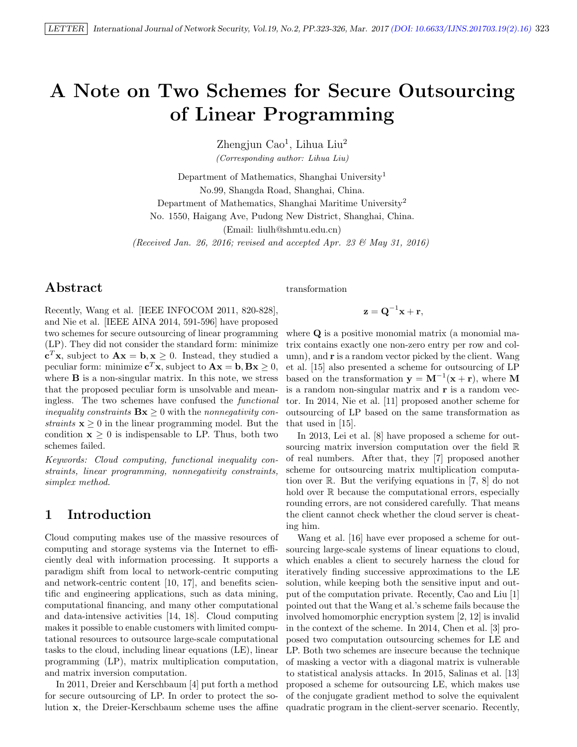# A Note on Two Schemes for Secure Outsourcing of Linear Programming

Zhengjun Cao<sup>1</sup>, Lihua Liu<sup>2</sup>

(Corresponding author: Lihua Liu)

Department of Mathematics, Shanghai University<sup>1</sup> No.99, Shangda Road, Shanghai, China. Department of Mathematics, Shanghai Maritime University<sup>2</sup> No. 1550, Haigang Ave, Pudong New District, Shanghai, China. (Email: liulh@shmtu.edu.cn)

(Received Jan. 26, 2016; revised and accepted Apr. 23 & May 31, 2016)

# Abstract

Recently, Wang et al. [IEEE INFOCOM 2011, 820-828], and Nie et al. [IEEE AINA 2014, 591-596] have proposed two schemes for secure outsourcing of linear programming (LP). They did not consider the standard form: minimize  ${\bf c}^T {\bf x}$ , subject to  ${\bf Ax} = {\bf b}, {\bf x} \ge 0$ . Instead, they studied a peculiar form: minimize  $\mathbf{c}^T \mathbf{x}$ , subject to  $\mathbf{A}\mathbf{x} = \mathbf{b}, \mathbf{B}\mathbf{x} \geq 0$ , where  $\bf{B}$  is a non-singular matrix. In this note, we stress that the proposed peculiar form is unsolvable and meaningless. The two schemes have confused the functional inequality constraints  $\mathbf{Bx} \geq 0$  with the nonnegativity constraints  $x \geq 0$  in the linear programming model. But the condition  $x \geq 0$  is indispensable to LP. Thus, both two schemes failed.

Keywords: Cloud computing, functional inequality constraints, linear programming, nonnegativity constraints, simplex method.

# 1 Introduction

Cloud computing makes use of the massive resources of computing and storage systems via the Internet to efficiently deal with information processing. It supports a paradigm shift from local to network-centric computing and network-centric content [10, 17], and benefits scientific and engineering applications, such as data mining, computational financing, and many other computational and data-intensive activities [14, 18]. Cloud computing makes it possible to enable customers with limited computational resources to outsource large-scale computational tasks to the cloud, including linear equations (LE), linear programming (LP), matrix multiplication computation, and matrix inversion computation.

In 2011, Dreier and Kerschbaum [4] put forth a method for secure outsourcing of LP. In order to protect the solution x, the Dreier-Kerschbaum scheme uses the affine transformation

#### $\mathbf{z} = \mathbf{Q}^{-1}\mathbf{x} + \mathbf{r},$

where **Q** is a positive monomial matrix (a monomial matrix contains exactly one non-zero entry per row and column), and **r** is a random vector picked by the client. Wang et al. [15] also presented a scheme for outsourcing of LP based on the transformation  $y = M^{-1}(x + r)$ , where M is a random non-singular matrix and r is a random vector. In 2014, Nie et al. [11] proposed another scheme for outsourcing of LP based on the same transformation as that used in [15].

In 2013, Lei et al. [8] have proposed a scheme for outsourcing matrix inversion computation over the field R of real numbers. After that, they [7] proposed another scheme for outsourcing matrix multiplication computation over R. But the verifying equations in [7, 8] do not hold over  $\mathbb R$  because the computational errors, especially rounding errors, are not considered carefully. That means the client cannot check whether the cloud server is cheating him.

Wang et al. [16] have ever proposed a scheme for outsourcing large-scale systems of linear equations to cloud, which enables a client to securely harness the cloud for iteratively finding successive approximations to the LE solution, while keeping both the sensitive input and output of the computation private. Recently, Cao and Liu [1] pointed out that the Wang et al.'s scheme fails because the involved homomorphic encryption system [2, 12] is invalid in the context of the scheme. In 2014, Chen et al. [3] proposed two computation outsourcing schemes for LE and LP. Both two schemes are insecure because the technique of masking a vector with a diagonal matrix is vulnerable to statistical analysis attacks. In 2015, Salinas et al. [13] proposed a scheme for outsourcing LE, which makes use of the conjugate gradient method to solve the equivalent quadratic program in the client-server scenario. Recently,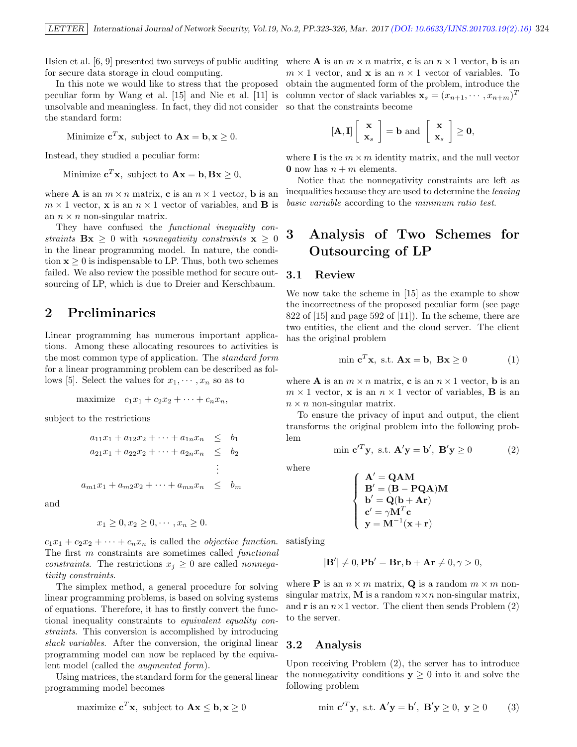Hsien et al. [6, 9] presented two surveys of public auditing where **A** is an  $m \times n$  matrix, **c** is an  $n \times 1$  vector, **b** is an for secure data storage in cloud computing.

In this note we would like to stress that the proposed peculiar form by Wang et al. [15] and Nie et al. [11] is unsolvable and meaningless. In fact, they did not consider the standard form:

Minimize  $\mathbf{c}^T \mathbf{x}$ , subject to  $\mathbf{A}\mathbf{x} = \mathbf{b}, \mathbf{x} \geq 0$ .

Instead, they studied a peculiar form:

Minimize  $\mathbf{c}^T \mathbf{x}$ , subject to  $\mathbf{A} \mathbf{x} = \mathbf{b}, \mathbf{B} \mathbf{x} \geq 0$ ,

where **A** is an  $m \times n$  matrix, **c** is an  $n \times 1$  vector, **b** is an  $m \times 1$  vector, **x** is an  $n \times 1$  vector of variables, and **B** is an  $n \times n$  non-singular matrix.

They have confused the *functional inequality con*straints  $\mathbf{Bx} \geq 0$  with nonnegativity constraints  $\mathbf{x} \geq 0$ in the linear programming model. In nature, the condition  $x > 0$  is indispensable to LP. Thus, both two schemes failed. We also review the possible method for secure outsourcing of LP, which is due to Dreier and Kerschbaum.

# 2 Preliminaries

Linear programming has numerous important applications. Among these allocating resources to activities is the most common type of application. The standard form for a linear programming problem can be described as follows [5]. Select the values for  $x_1, \dots, x_n$  so as to

$$
\text{maximize} \quad c_1 x_1 + c_2 x_2 + \dots + c_n x_n,
$$

subject to the restrictions

 $a_{11}x_1 + a_{12}x_2 + \cdots + a_{1n}x_n \leq b_1$  $a_{21}x_1 + a_{22}x_2 + \cdots + a_{2n}x_n \leq b_2$ . . .  $a_{m1}x_1 + a_{m2}x_2 + \cdots + a_{mn}x_n \leq b_m$ 

and

$$
x_1 \ge 0, x_2 \ge 0, \cdots, x_n \ge 0.
$$

 $c_1x_1 + c_2x_2 + \cdots + c_nx_n$  is called the *objective function*. The first m constraints are sometimes called functional constraints. The restrictions  $x_j \geq 0$  are called nonnegativity constraints.

The simplex method, a general procedure for solving linear programming problems, is based on solving systems of equations. Therefore, it has to firstly convert the functional inequality constraints to equivalent equality constraints. This conversion is accomplished by introducing slack variables. After the conversion, the original linear programming model can now be replaced by the equivalent model (called the augmented form).

Using matrices, the standard form for the general linear programming model becomes

$$
maximize cTx, subject to Ax \le b, x \ge 0
$$

 $m \times 1$  vector, and **x** is an  $n \times 1$  vector of variables. To obtain the augmented form of the problem, introduce the column vector of slack variables  $\mathbf{x}_s = (x_{n+1}, \dots, x_{n+m})^T$ so that the constraints become

$$
[\mathbf{A},\mathbf{I}]\left[\begin{array}{c} \mathbf{x} \\ \mathbf{x}_s \end{array}\right] = \mathbf{b} \text{ and } \left[\begin{array}{c} \mathbf{x} \\ \mathbf{x}_s \end{array}\right] \geq \mathbf{0},
$$

where **I** is the  $m \times m$  identity matrix, and the null vector **0** now has  $n + m$  elements.

Notice that the nonnegativity constraints are left as inequalities because they are used to determine the leaving basic variable according to the minimum ratio test.

# 3 Analysis of Two Schemes for Outsourcing of LP

#### 3.1 Review

We now take the scheme in [15] as the example to show the incorrectness of the proposed peculiar form (see page 822 of  $[15]$  and page 592 of  $[11]$ ). In the scheme, there are two entities, the client and the cloud server. The client has the original problem

$$
\min \mathbf{c}^T \mathbf{x}, \text{ s.t. } \mathbf{A}\mathbf{x} = \mathbf{b}, \ \mathbf{B}\mathbf{x} \ge 0 \tag{1}
$$

where **A** is an  $m \times n$  matrix, **c** is an  $n \times 1$  vector, **b** is an  $m \times 1$  vector, **x** is an  $n \times 1$  vector of variables, **B** is an  $n \times n$  non-singular matrix.

To ensure the privacy of input and output, the client transforms the original problem into the following problem

$$
\min \mathbf{c}'^T \mathbf{y}, \text{ s.t. } \mathbf{A}'\mathbf{y} = \mathbf{b}', \ \mathbf{B}'\mathbf{y} \ge 0 \tag{2}
$$

where

$$
\left\{\begin{array}{l} \mathbf{A}^{\prime}=\mathbf{QAM} \\ \mathbf{B}^{\prime}=(\mathbf{B-PQA})\mathbf{M} \\ \mathbf{b}^{\prime}=\mathbf{Q}(\mathbf{b}+\mathbf{Ar}) \\ \mathbf{c}^{\prime}=\gamma\mathbf{M}^{T}\mathbf{c} \\ \mathbf{y}=\mathbf{M}^{-1}(\mathbf{x}+\mathbf{r}) \end{array}\right.
$$

satisfying

$$
|\mathbf{B}'| \neq 0, \mathbf{Pb}' = \mathbf{Br}, \mathbf{b} + \mathbf{Ar} \neq 0, \gamma > 0,
$$

where **P** is an  $n \times m$  matrix, **Q** is a random  $m \times m$  nonsingular matrix, M is a random  $n \times n$  non-singular matrix, and **r** is an  $n \times 1$  vector. The client then sends Problem (2) to the server.

#### 3.2 Analysis

Upon receiving Problem (2), the server has to introduce the nonnegativity conditions  $y \geq 0$  into it and solve the following problem

$$
\min \mathbf{c}'^T \mathbf{y}, \text{ s.t. } \mathbf{A}'\mathbf{y} = \mathbf{b}', \ \mathbf{B}'\mathbf{y} \ge 0, \ \mathbf{y} \ge 0 \tag{3}
$$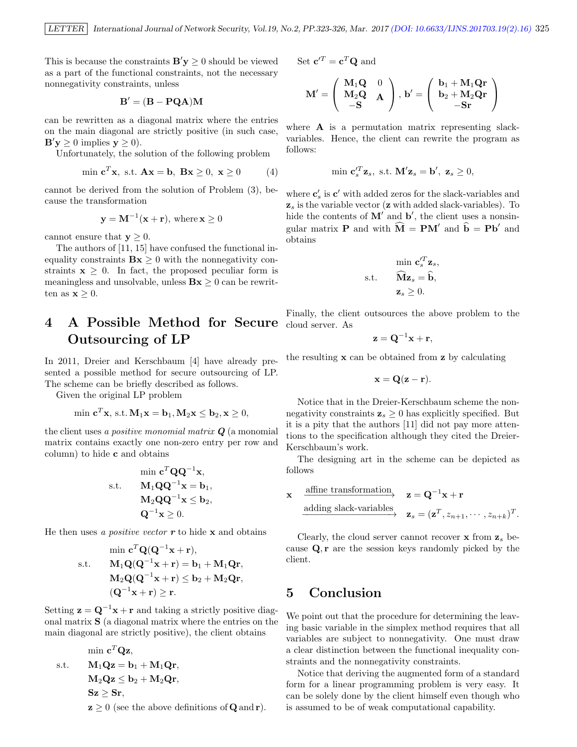This is because the constraints  $\mathbf{B}'\mathbf{y} \geq 0$  should be viewed as a part of the functional constraints, not the necessary nonnegativity constraints, unless

$$
\mathbf{B}' = (\mathbf{B} - \mathbf{P} \mathbf{Q} \mathbf{A}) \mathbf{M}
$$

can be rewritten as a diagonal matrix where the entries on the main diagonal are strictly positive (in such case,  $\mathbf{B}'\mathbf{y} \geq 0$  implies  $\mathbf{y} \geq 0$ ).

Unfortunately, the solution of the following problem

$$
\min \mathbf{c}^T \mathbf{x}, \text{ s.t. } \mathbf{A}\mathbf{x} = \mathbf{b}, \ \mathbf{B}\mathbf{x} \ge 0, \ \mathbf{x} \ge 0 \tag{4}
$$

cannot be derived from the solution of Problem (3), because the transformation

$$
y = M^{-1}(x + r), \text{ where } x \ge 0
$$

cannot ensure that  $y \geq 0$ .

The authors of [11, 15] have confused the functional inequality constraints  $Bx \geq 0$  with the nonnegativity constraints  $x > 0$ . In fact, the proposed peculiar form is meaningless and unsolvable, unless  $Bx \geq 0$  can be rewritten as  $\mathbf{x} \geq 0$ .

# 4 A Possible Method for Secure Outsourcing of LP

In 2011, Dreier and Kerschbaum [4] have already presented a possible method for secure outsourcing of LP. The scheme can be briefly described as follows.

Given the original LP problem

$$
\min \mathbf{c}^T \mathbf{x}, \text{ s.t. } \mathbf{M}_1 \mathbf{x} = \mathbf{b}_1, \mathbf{M}_2 \mathbf{x} \le \mathbf{b}_2, \mathbf{x} \ge 0,
$$

the client uses a positive monomial matrix  $Q$  (a monomial matrix contains exactly one non-zero entry per row and column) to hide c and obtains

$$
\begin{aligned} \min \mathbf{c}^T \mathbf{Q} \mathbf{Q}^{-1} \mathbf{x}, \\ \text{s.t.} \qquad & \mathbf{M}_1 \mathbf{Q} \mathbf{Q}^{-1} \mathbf{x} = \mathbf{b}_1, \\ & \mathbf{M}_2 \mathbf{Q} \mathbf{Q}^{-1} \mathbf{x} \leq \mathbf{b}_2, \\ & \mathbf{Q}^{-1} \mathbf{x} \geq 0. \end{aligned}
$$

He then uses a *positive vector*  $\boldsymbol{r}$  to hide  $\boldsymbol{x}$  and obtains

$$
\begin{aligned} \min \mathbf{c}^T \mathbf{Q} (\mathbf{Q}^{-1} \mathbf{x} + \mathbf{r}), \\ \text{s.t.} \qquad & \mathbf{M}_1 \mathbf{Q} (\mathbf{Q}^{-1} \mathbf{x} + \mathbf{r}) = \mathbf{b}_1 + \mathbf{M}_1 \mathbf{Q} \mathbf{r}, \\ & \mathbf{M}_2 \mathbf{Q} (\mathbf{Q}^{-1} \mathbf{x} + \mathbf{r}) \leq \mathbf{b}_2 + \mathbf{M}_2 \mathbf{Q} \mathbf{r}, \\ & (\mathbf{Q}^{-1} \mathbf{x} + \mathbf{r}) \geq \mathbf{r}. \end{aligned}
$$

Setting  $z = Q^{-1}x + r$  and taking a strictly positive diagonal matrix S (a diagonal matrix where the entries on the main diagonal are strictly positive), the client obtains

$$
\begin{aligned}\n\min \mathbf{c}^T \mathbf{Q} \mathbf{z}, \\
\text{s.t.} \qquad \mathbf{M}_1 \mathbf{Q} \mathbf{z} &= \mathbf{b}_1 + \mathbf{M}_1 \mathbf{Q} \mathbf{r}, \\
\mathbf{M}_2 \mathbf{Q} \mathbf{z} &\le \mathbf{b}_2 + \mathbf{M}_2 \mathbf{Q} \mathbf{r}, \\
\mathbf{S} \mathbf{z} &\ge \mathbf{S} \mathbf{r}, \\
\mathbf{z} &> 0 \text{ (see the above definitions of } \mathbf{Q} \text{ and } \mathbf{r}\text{)}.\n\end{aligned}
$$

Set 
$$
\mathbf{c}'^T = \mathbf{c}^T \mathbf{Q}
$$
 and

$$
\mathbf{M}' = \left(\begin{array}{cc} \mathbf{M}_1\mathbf{Q} & 0 \\ \mathbf{M}_2\mathbf{Q} & \mathbf{A} \\ -\mathbf{S} & \end{array}\right),\ \mathbf{b}' = \left(\begin{array}{cc} \mathbf{b}_1 + \mathbf{M}_1\mathbf{Q}\mathbf{r} \\ \mathbf{b}_2 + \mathbf{M}_2\mathbf{Q}\mathbf{r} \\ -\mathbf{S}\mathbf{r} \end{array}\right)
$$

where  $\bf{A}$  is a permutation matrix representing slackvariables. Hence, the client can rewrite the program as follows:

$$
\min \mathbf{c}'_s^T \mathbf{z}_s, \text{ s.t. } \mathbf{M}' \mathbf{z}_s = \mathbf{b}', \mathbf{z}_s \ge 0,
$$

where  $\mathbf{c}'_s$  is  $\mathbf{c}'$  with added zeros for the slack-variables and  $z_s$  is the variable vector ( $z$  with added slack-variables). To hide the contents of  $\mathbf{M}'$  and  $\mathbf{b}'$ , the client uses a nonsingular matrix **P** and with  $\widehat{M} = PM'$  and  $\widehat{b} = Pb'$  and obtains

$$
\min \mathbf{c}'_s^T \mathbf{z}_s,
$$
  
s.t. 
$$
\widehat{\mathbf{M}} \mathbf{z}_s = \widehat{\mathbf{b}},
$$

$$
\mathbf{z}_s \ge 0.
$$

Finally, the client outsources the above problem to the cloud server. As

$$
\mathbf{z} = \mathbf{Q}^{-1}\mathbf{x} + \mathbf{r},
$$

the resulting  $x$  can be obtained from  $z$  by calculating

$$
\mathbf{x} = \mathbf{Q}(\mathbf{z} - \mathbf{r}).
$$

Notice that in the Dreier-Kerschbaum scheme the nonnegativity constraints  $z_s \geq 0$  has explicitly specified. But it is a pity that the authors [11] did not pay more attentions to the specification although they cited the Dreier-Kerschbaum's work.

The designing art in the scheme can be depicted as follows

$$
\begin{array}{ll}\n\text{affine transformation} & \mathbf{z} = \mathbf{Q}^{-1} \mathbf{x} + \mathbf{r} \\
\text{adding slack-variables} & \mathbf{z}_s = (\mathbf{z}^T, z_{n+1}, \dots, z_{n+k})^T.\n\end{array}
$$

Clearly, the cloud server cannot recover  $x$  from  $z_s$  because Q, r are the session keys randomly picked by the client.

# 5 Conclusion

x

We point out that the procedure for determining the leaving basic variable in the simplex method requires that all variables are subject to nonnegativity. One must draw a clear distinction between the functional inequality constraints and the nonnegativity constraints.

Notice that deriving the augmented form of a standard form for a linear programming problem is very easy. It can be solely done by the client himself even though who is assumed to be of weak computational capability.